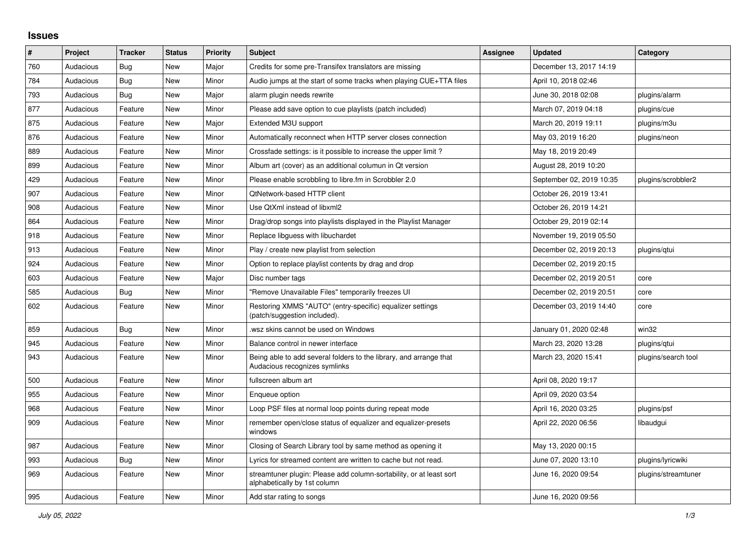## **Issues**

| ∦   | Project   | <b>Tracker</b> | <b>Status</b> | <b>Priority</b> | <b>Subject</b>                                                                                      | Assignee | <b>Updated</b>           | Category            |
|-----|-----------|----------------|---------------|-----------------|-----------------------------------------------------------------------------------------------------|----------|--------------------------|---------------------|
| 760 | Audacious | Bug            | <b>New</b>    | Major           | Credits for some pre-Transifex translators are missing                                              |          | December 13, 2017 14:19  |                     |
| 784 | Audacious | Bug            | <b>New</b>    | Minor           | Audio jumps at the start of some tracks when playing CUE+TTA files                                  |          | April 10, 2018 02:46     |                     |
| 793 | Audacious | <b>Bug</b>     | <b>New</b>    | Major           | alarm plugin needs rewrite                                                                          |          | June 30, 2018 02:08      | plugins/alarm       |
| 877 | Audacious | Feature        | <b>New</b>    | Minor           | Please add save option to cue playlists (patch included)                                            |          | March 07, 2019 04:18     | plugins/cue         |
| 875 | Audacious | Feature        | <b>New</b>    | Major           | Extended M3U support                                                                                |          | March 20, 2019 19:11     | plugins/m3u         |
| 876 | Audacious | Feature        | <b>New</b>    | Minor           | Automatically reconnect when HTTP server closes connection                                          |          | May 03, 2019 16:20       | plugins/neon        |
| 889 | Audacious | Feature        | <b>New</b>    | Minor           | Crossfade settings: is it possible to increase the upper limit?                                     |          | May 18, 2019 20:49       |                     |
| 899 | Audacious | Feature        | <b>New</b>    | Minor           | Album art (cover) as an additional columun in Qt version                                            |          | August 28, 2019 10:20    |                     |
| 429 | Audacious | Feature        | <b>New</b>    | Minor           | Please enable scrobbling to libre.fm in Scrobbler 2.0                                               |          | September 02, 2019 10:35 | plugins/scrobbler2  |
| 907 | Audacious | Feature        | <b>New</b>    | Minor           | QtNetwork-based HTTP client                                                                         |          | October 26, 2019 13:41   |                     |
| 908 | Audacious | Feature        | <b>New</b>    | Minor           | Use QtXml instead of libxml2                                                                        |          | October 26, 2019 14:21   |                     |
| 864 | Audacious | Feature        | <b>New</b>    | Minor           | Drag/drop songs into playlists displayed in the Playlist Manager                                    |          | October 29, 2019 02:14   |                     |
| 918 | Audacious | Feature        | <b>New</b>    | Minor           | Replace libguess with libuchardet                                                                   |          | November 19, 2019 05:50  |                     |
| 913 | Audacious | Feature        | New           | Minor           | Play / create new playlist from selection                                                           |          | December 02, 2019 20:13  | plugins/gtui        |
| 924 | Audacious | Feature        | <b>New</b>    | Minor           | Option to replace playlist contents by drag and drop                                                |          | December 02, 2019 20:15  |                     |
| 603 | Audacious | Feature        | <b>New</b>    | Major           | Disc number tags                                                                                    |          | December 02, 2019 20:51  | core                |
| 585 | Audacious | <b>Bug</b>     | <b>New</b>    | Minor           | "Remove Unavailable Files" temporarily freezes UI                                                   |          | December 02, 2019 20:51  | core                |
| 602 | Audacious | Feature        | <b>New</b>    | Minor           | Restoring XMMS "AUTO" (entry-specific) equalizer settings<br>(patch/suggestion included).           |          | December 03, 2019 14:40  | core                |
| 859 | Audacious | Bug            | <b>New</b>    | Minor           | wsz skins cannot be used on Windows                                                                 |          | January 01, 2020 02:48   | win32               |
| 945 | Audacious | Feature        | <b>New</b>    | Minor           | Balance control in newer interface                                                                  |          | March 23, 2020 13:28     | plugins/gtui        |
| 943 | Audacious | Feature        | New           | Minor           | Being able to add several folders to the library, and arrange that<br>Audacious recognizes symlinks |          | March 23, 2020 15:41     | plugins/search tool |
| 500 | Audacious | Feature        | <b>New</b>    | Minor           | fullscreen album art                                                                                |          | April 08, 2020 19:17     |                     |
| 955 | Audacious | Feature        | <b>New</b>    | Minor           | Enqueue option                                                                                      |          | April 09, 2020 03:54     |                     |
| 968 | Audacious | Feature        | <b>New</b>    | Minor           | Loop PSF files at normal loop points during repeat mode                                             |          | April 16, 2020 03:25     | plugins/psf         |
| 909 | Audacious | Feature        | <b>New</b>    | Minor           | remember open/close status of equalizer and equalizer-presets<br>windows                            |          | April 22, 2020 06:56     | libaudgui           |
| 987 | Audacious | Feature        | <b>New</b>    | Minor           | Closing of Search Library tool by same method as opening it                                         |          | May 13, 2020 00:15       |                     |
| 993 | Audacious | <b>Bug</b>     | New           | Minor           | Lyrics for streamed content are written to cache but not read.                                      |          | June 07, 2020 13:10      | plugins/lyricwiki   |
| 969 | Audacious | Feature        | New           | Minor           | streamtuner plugin: Please add column-sortability, or at least sort<br>alphabetically by 1st column |          | June 16, 2020 09:54      | plugins/streamtuner |
| 995 | Audacious | Feature        | New           | Minor           | Add star rating to songs                                                                            |          | June 16, 2020 09:56      |                     |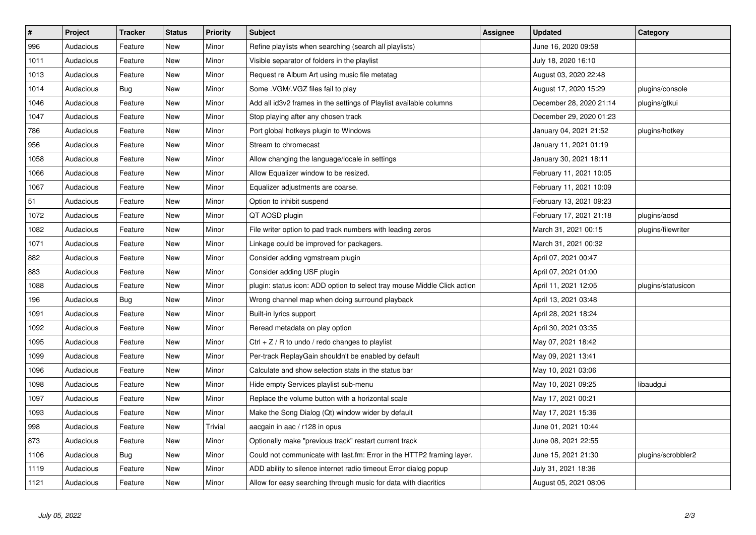| $\sharp$ | Project   | <b>Tracker</b> | <b>Status</b> | <b>Priority</b> | <b>Subject</b>                                                           | <b>Assignee</b> | <b>Updated</b>          | Category           |
|----------|-----------|----------------|---------------|-----------------|--------------------------------------------------------------------------|-----------------|-------------------------|--------------------|
| 996      | Audacious | Feature        | <b>New</b>    | Minor           | Refine playlists when searching (search all playlists)                   |                 | June 16, 2020 09:58     |                    |
| 1011     | Audacious | Feature        | <b>New</b>    | Minor           | Visible separator of folders in the playlist                             |                 | July 18, 2020 16:10     |                    |
| 1013     | Audacious | Feature        | New           | Minor           | Request re Album Art using music file metatag                            |                 | August 03, 2020 22:48   |                    |
| 1014     | Audacious | Bug            | New           | Minor           | Some . VGM/. VGZ files fail to play                                      |                 | August 17, 2020 15:29   | plugins/console    |
| 1046     | Audacious | Feature        | New           | Minor           | Add all id3v2 frames in the settings of Playlist available columns       |                 | December 28, 2020 21:14 | plugins/gtkui      |
| 1047     | Audacious | Feature        | <b>New</b>    | Minor           | Stop playing after any chosen track                                      |                 | December 29, 2020 01:23 |                    |
| 786      | Audacious | Feature        | New           | Minor           | Port global hotkeys plugin to Windows                                    |                 | January 04, 2021 21:52  | plugins/hotkey     |
| 956      | Audacious | Feature        | <b>New</b>    | Minor           | Stream to chromecast                                                     |                 | January 11, 2021 01:19  |                    |
| 1058     | Audacious | Feature        | New           | Minor           | Allow changing the language/locale in settings                           |                 | January 30, 2021 18:11  |                    |
| 1066     | Audacious | Feature        | <b>New</b>    | Minor           | Allow Equalizer window to be resized.                                    |                 | February 11, 2021 10:05 |                    |
| 1067     | Audacious | Feature        | <b>New</b>    | Minor           | Equalizer adjustments are coarse.                                        |                 | February 11, 2021 10:09 |                    |
| 51       | Audacious | Feature        | New           | Minor           | Option to inhibit suspend                                                |                 | February 13, 2021 09:23 |                    |
| 1072     | Audacious | Feature        | <b>New</b>    | Minor           | QT AOSD plugin                                                           |                 | February 17, 2021 21:18 | plugins/aosd       |
| 1082     | Audacious | Feature        | New           | Minor           | File writer option to pad track numbers with leading zeros               |                 | March 31, 2021 00:15    | plugins/filewriter |
| 1071     | Audacious | Feature        | New           | Minor           | Linkage could be improved for packagers.                                 |                 | March 31, 2021 00:32    |                    |
| 882      | Audacious | Feature        | New           | Minor           | Consider adding vgmstream plugin                                         |                 | April 07, 2021 00:47    |                    |
| 883      | Audacious | Feature        | New           | Minor           | Consider adding USF plugin                                               |                 | April 07, 2021 01:00    |                    |
| 1088     | Audacious | Feature        | New           | Minor           | plugin: status icon: ADD option to select tray mouse Middle Click action |                 | April 11, 2021 12:05    | plugins/statusicon |
| 196      | Audacious | Bug            | New           | Minor           | Wrong channel map when doing surround playback                           |                 | April 13, 2021 03:48    |                    |
| 1091     | Audacious | Feature        | New           | Minor           | Built-in lyrics support                                                  |                 | April 28, 2021 18:24    |                    |
| 1092     | Audacious | Feature        | New           | Minor           | Reread metadata on play option                                           |                 | April 30, 2021 03:35    |                    |
| 1095     | Audacious | Feature        | New           | Minor           | Ctrl $+$ Z / R to undo / redo changes to playlist                        |                 | May 07, 2021 18:42      |                    |
| 1099     | Audacious | Feature        | New           | Minor           | Per-track ReplayGain shouldn't be enabled by default                     |                 | May 09, 2021 13:41      |                    |
| 1096     | Audacious | Feature        | <b>New</b>    | Minor           | Calculate and show selection stats in the status bar                     |                 | May 10, 2021 03:06      |                    |
| 1098     | Audacious | Feature        | New           | Minor           | Hide empty Services playlist sub-menu                                    |                 | May 10, 2021 09:25      | libaudgui          |
| 1097     | Audacious | Feature        | <b>New</b>    | Minor           | Replace the volume button with a horizontal scale                        |                 | May 17, 2021 00:21      |                    |
| 1093     | Audacious | Feature        | New           | Minor           | Make the Song Dialog (Qt) window wider by default                        |                 | May 17, 2021 15:36      |                    |
| 998      | Audacious | Feature        | <b>New</b>    | Trivial         | aacgain in aac / r128 in opus                                            |                 | June 01, 2021 10:44     |                    |
| 873      | Audacious | Feature        | New           | Minor           | Optionally make "previous track" restart current track                   |                 | June 08, 2021 22:55     |                    |
| 1106     | Audacious | <b>Bug</b>     | New           | Minor           | Could not communicate with last.fm: Error in the HTTP2 framing layer.    |                 | June 15, 2021 21:30     | plugins/scrobbler2 |
| 1119     | Audacious | Feature        | New           | Minor           | ADD ability to silence internet radio timeout Error dialog popup         |                 | July 31, 2021 18:36     |                    |
| 1121     | Audacious | Feature        | New           | Minor           | Allow for easy searching through music for data with diacritics          |                 | August 05, 2021 08:06   |                    |